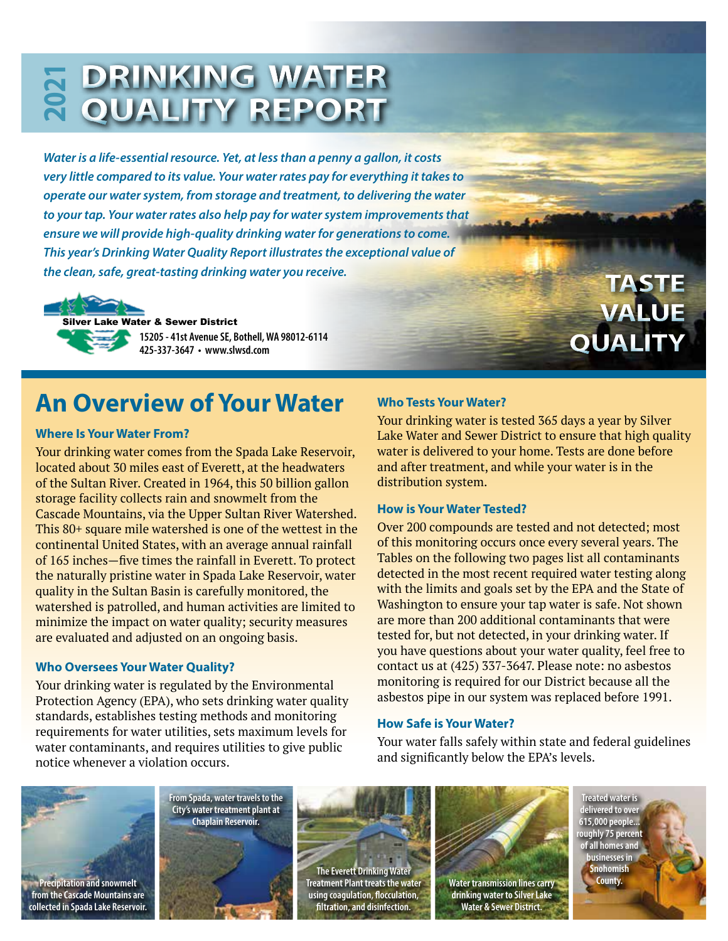### **DRINKING WATER 2 QUALITY REPORT 021**

*Water is a life-essential resource. Yet, at less than a penny a gallon, it costs very little compared to its value. Your water rates pay for everything it takes to operate our water system, from storage and treatment, to delivering the water to your tap. Your water rates also help pay for water system improvements that ensure we will provide high-quality drinking water for generations to come. This year's Drinking Water Quality Report illustrates the exceptional value of the clean, safe, great-tasting drinking water you receive.*

Silver Lake Water & Sewer District **15205 - 41st Avenue SE, Bothell, WA 98012-6114 425-337-3647 • www.slwsd.com**

**TASTE VALUE QUALITY**

## **An Overview of Your Water**

### **Where Is Your Water From?**

Your drinking water comes from the Spada Lake Reservoir, located about 30 miles east of Everett, at the headwaters of the Sultan River. Created in 1964, this 50 billion gallon storage facility collects rain and snowmelt from the Cascade Mountains, via the Upper Sultan River Watershed. This 80+ square mile watershed is one of the wettest in the continental United States, with an average annual rainfall of 165 inches—five times the rainfall in Everett. To protect the naturally pristine water in Spada Lake Reservoir, water quality in the Sultan Basin is carefully monitored, the watershed is patrolled, and human activities are limited to minimize the impact on water quality; security measures are evaluated and adjusted on an ongoing basis.

### **Who Oversees Your Water Quality?**

Your drinking water is regulated by the Environmental Protection Agency (EPA), who sets drinking water quality standards, establishes testing methods and monitoring requirements for water utilities, sets maximum levels for water contaminants, and requires utilities to give public notice whenever a violation occurs.

### **Who Tests Your Water?**

Your drinking water is tested 365 days a year by Silver Lake Water and Sewer District to ensure that high quality water is delivered to your home. Tests are done before and after treatment, and while your water is in the distribution system.

### **How is Your Water Tested?**

Over 200 compounds are tested and not detected; most of this monitoring occurs once every several years. The Tables on the following two pages list all contaminants detected in the most recent required water testing along with the limits and goals set by the EPA and the State of Washington to ensure your tap water is safe. Not shown are more than 200 additional contaminants that were tested for, but not detected, in your drinking water. If you have questions about your water quality, feel free to contact us at (425) 337-3647. Please note: no asbestos monitoring is required for our District because all the asbestos pipe in our system was replaced before 1991.

### **How Safe is Your Water?**

Your water falls safely within state and federal guidelines and significantly below the EPA's levels.









**drinking water to Silver Lake Water & Sewer District.**

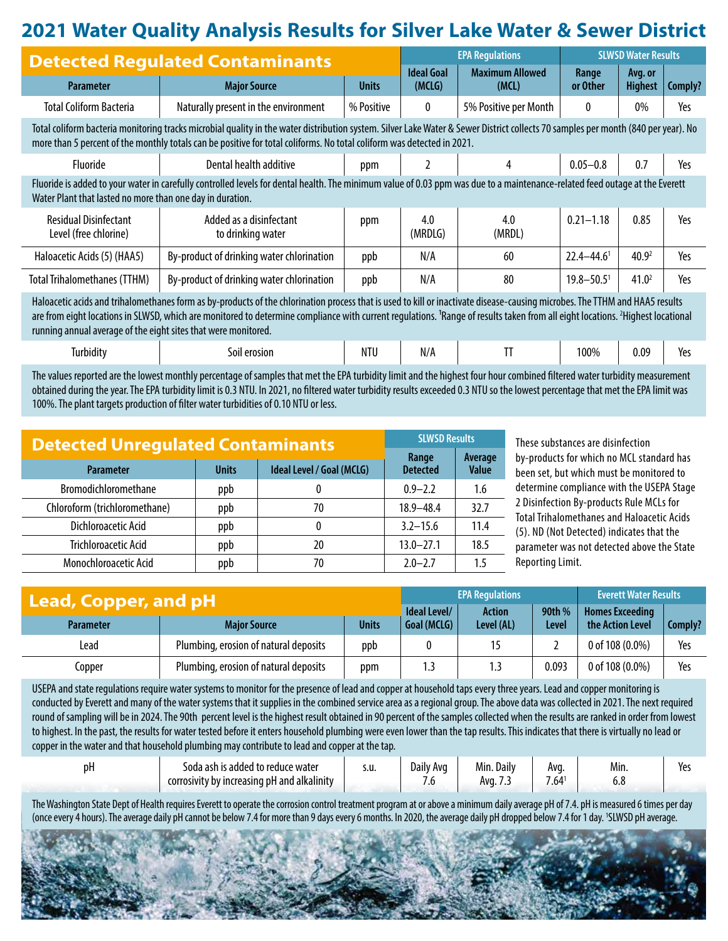### **2021 Water Quality Analysis Results for Silver Lake Water & Sewer District**

| <b>Detected Regulated Contaminants</b>                                                                                                                                                                                                                                                                                                                                                                                                                  |                                              |              | <b>EPA Regulations</b>      |                                 | <b>SLWSD Water Results</b> |                           |         |  |  |
|---------------------------------------------------------------------------------------------------------------------------------------------------------------------------------------------------------------------------------------------------------------------------------------------------------------------------------------------------------------------------------------------------------------------------------------------------------|----------------------------------------------|--------------|-----------------------------|---------------------------------|----------------------------|---------------------------|---------|--|--|
| <b>Parameter</b>                                                                                                                                                                                                                                                                                                                                                                                                                                        | <b>Major Source</b>                          | <b>Units</b> | <b>Ideal Goal</b><br>(MCLG) | <b>Maximum Allowed</b><br>(MCL) | Range<br>or Other          | Avg. or<br><b>Highest</b> | Comply? |  |  |
| <b>Total Coliform Bacteria</b>                                                                                                                                                                                                                                                                                                                                                                                                                          | Naturally present in the environment         | % Positive   | 0                           | 5% Positive per Month           | 0                          | $0\%$                     | Yes     |  |  |
| Total coliform bacteria monitoring tracks microbial quality in the water distribution system. Silver Lake Water & Sewer District collects 70 samples per month (840 per year). No<br>more than 5 percent of the monthly totals can be positive for total coliforms. No total coliform was detected in 2021.                                                                                                                                             |                                              |              |                             |                                 |                            |                           |         |  |  |
| <b>Fluoride</b>                                                                                                                                                                                                                                                                                                                                                                                                                                         | Dental health additive                       | ppm          |                             | 4                               | $0.05 - 0.8$               | 0.7                       | Yes     |  |  |
| Fluoride is added to your water in carefully controlled levels for dental health. The minimum value of 0.03 ppm was due to a maintenance-related feed outage at the Everett<br>Water Plant that lasted no more than one day in duration.                                                                                                                                                                                                                |                                              |              |                             |                                 |                            |                           |         |  |  |
| <b>Residual Disinfectant</b><br>Level (free chlorine)                                                                                                                                                                                                                                                                                                                                                                                                   | Added as a disinfectant<br>to drinking water | ppm          | 4.0<br>(MRDLG)              | 4.0<br>(MRDL)                   | $0.21 - 1.18$              | 0.85                      | Yes     |  |  |
| Haloacetic Acids (5) (HAA5)                                                                                                                                                                                                                                                                                                                                                                                                                             | By-product of drinking water chlorination    | ppb          | N/A                         | 60                              | $22.4 - 44.6$ <sup>1</sup> | 40.9 <sup>2</sup>         | Yes     |  |  |
| <b>Total Trihalomethanes (TTHM)</b>                                                                                                                                                                                                                                                                                                                                                                                                                     | By-product of drinking water chlorination    | ppb          | N/A                         | 80                              | $19.8 - 50.5$ <sup>1</sup> | 41.0 <sup>2</sup>         | Yes     |  |  |
| Haloacetic acids and trihalomethanes form as by-products of the chlorination process that is used to kill or inactivate disease-causing microbes. The TTHM and HAA5 results<br>are from eight locations in SLWSD, which are monitored to determine compliance with current regulations. <sup>1</sup> Range of results taken from all eight locations. <sup>2</sup> Highest locational<br>running annual average of the eight sites that were monitored. |                                              |              |                             |                                 |                            |                           |         |  |  |
| Turbidity                                                                                                                                                                                                                                                                                                                                                                                                                                               | Soil erosion                                 | NTU          | N/A                         | TT                              | 100%                       | 0.09                      | Yes     |  |  |

The values reported are the lowest monthly percentage of samples that met the EPA turbidity limit and the highest four hour combined filtered water turbidity measurement obtained during the year. The EPA turbidity limit is 0.3 NTU. In 2021, no filtered water turbidity results exceeded 0.3 NTU so the lowest percentage that met the EPA limit was 100%. The plant targets production of filter water turbidities of 0.10 NTU or less.

| <b>Detected Unregulated Contaminants</b> | <b>SLWSD Results</b> |                           |                          |                         |
|------------------------------------------|----------------------|---------------------------|--------------------------|-------------------------|
| <b>Parameter</b>                         | <b>Units</b>         | Ideal Level / Goal (MCLG) | Range<br><b>Detected</b> | Average<br><b>Value</b> |
| Bromodichloromethane                     | ppb                  |                           | $0.9 - 2.2$              | 1.6                     |
| Chloroform (trichloromethane)            | ppb                  | 70                        | $18.9 - 48.4$            | 32.7                    |
| Dichloroacetic Acid                      | ppb                  | 0                         | $3.2 - 15.6$             | 11.4                    |
| <b>Trichloroacetic Acid</b>              | ppb                  | 20                        | $13.0 - 27.1$            | 18.5                    |
| <b>Monochloroacetic Acid</b>             | ppb                  | 70                        | $2.0 - 2.7$              | 1.5                     |

These substances are disinfection by-products for which no MCL standard has been set, but which must be monitored to determine compliance with the USEPA Stage 2 Disinfection By-products Rule MCLs for Total Trihalomethanes and Haloacetic Acids (5). ND (Not Detected) indicates that the parameter was not detected above the State Reporting Limit.

| Lead, Copper, and pH                    |                                       |              | <b>EPA Regulations</b>      |                             |                 | <b>Everett Water Results</b>               |         |
|-----------------------------------------|---------------------------------------|--------------|-----------------------------|-----------------------------|-----------------|--------------------------------------------|---------|
| <b>Major Source</b><br><b>Parameter</b> |                                       | <b>Units</b> | Ideal Level/<br>Goal (MCLG) | <b>Action</b><br>Level (AL) | 90th %<br>Level | <b>Homes Exceeding</b><br>the Action Level | Comply? |
| Lead                                    | Plumbing, erosion of natural deposits | ppb          |                             | 15                          |                 | 0 of 108 $(0.0\%)$                         | Yes     |
| Copper                                  | Plumbing, erosion of natural deposits | ppm          | 1.3                         | 1.3                         | 0.093           | 0 of 108 $(0.0\%)$                         | Yes     |

USEPA and state regulations require water systems to monitor for the presence of lead and copper at household taps every three years. Lead and copper monitoring is conducted by Everett and many of the water systems that it supplies in the combined service area as a regional group. The above data was collected in 2021. The next required round of sampling will be in 2024. The 90th percent level is the highest result obtained in 90 percent of the samples collected when the results are ranked in order from lowest to highest. In the past, the results for water tested before it enters household plumbing were even lower than the tap results. This indicates that there is virtually no lead or copper in the water and that household plumbing may contribute to lead and copper at the tap.

| Dŀ. | is added to reduce water.<br>ash<br>soda    | s.u. | Daily<br>Ava | Min<br>Dailv | Avq.                | Min. | Yes |
|-----|---------------------------------------------|------|--------------|--------------|---------------------|------|-----|
|     | corrosivity by increasing pH and alkalinity |      | .v           | Avg. 7.      | – <i>–</i> –<br>.04 | υ.α  |     |

The Washington State Dept of Health requires Everett to operate the corrosion control treatment program at or above a minimum daily average pH of 7.4. pH is measured 6 times per day (once every 4 hours). The average daily pH cannot be below 7.4 for more than 9 days every 6 months. In 2020, the average daily pH dropped below 7.4 for 1 day. 1 SLWSD pH average.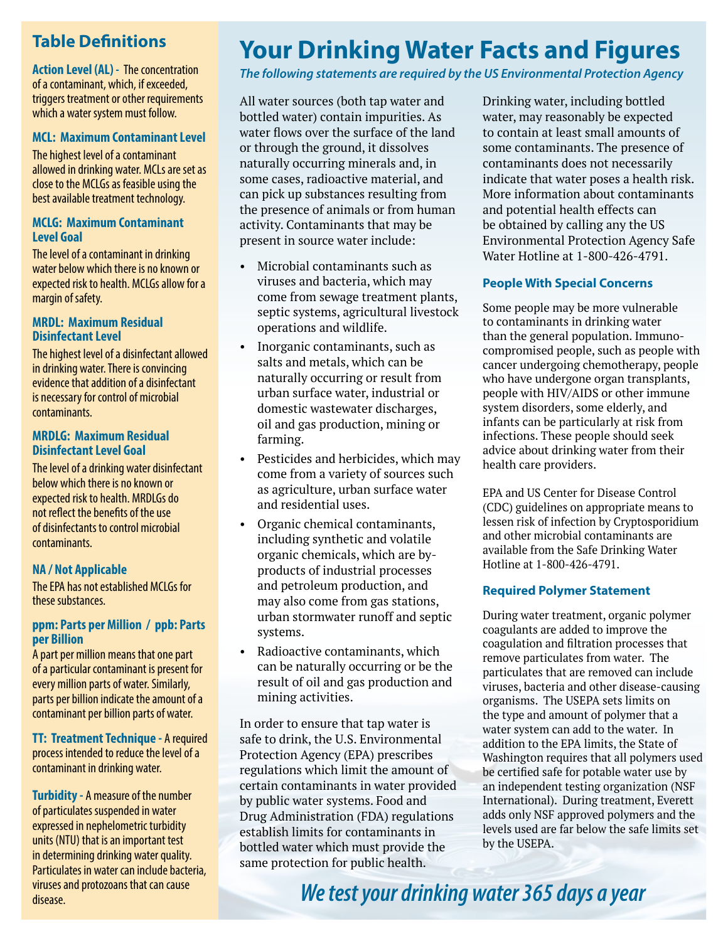### **Table Definitions**

**Action Level (AL) -** The concentration of a contaminant, which, if exceeded, triggers treatment or other requirements which a water system must follow.

### **MCL: Maximum Contaminant Level**

The highest level of a contaminant allowed in drinking water. MCLs are set as close to the MCLGs as feasible using the best available treatment technology.

#### **MCLG: Maximum Contaminant Level Goal**

The level of a contaminant in drinking water below which there is no known or expected risk to health. MCLGs allow for a margin of safety.

#### **MRDL: Maximum Residual Disinfectant Level**

The highest level of a disinfectant allowed in drinking water. There is convincing evidence that addition of a disinfectant is necessary for control of microbial contaminants.

#### **MRDLG: Maximum Residual Disinfectant Level Goal**

The level of a drinking water disinfectant below which there is no known or expected risk to health. MRDLGs do not reflect the benefits of the use of disinfectants to control microbial contaminants.

### **NA / Not Applicable**

The EPA has not established MCLGs for these substances.

#### **ppm: Parts per Million / ppb: Parts per Billion**

A part per million means that one part of a particular contaminant is present for every million parts of water. Similarly, parts per billion indicate the amount of a contaminant per billion parts of water.

**TT: Treatment Technique - A required** process intended to reduce the level of a contaminant in drinking water.

**Turbidity -** A measure of the number of particulates suspended in water expressed in nephelometric turbidity units (NTU) that is an important test in determining drinking water quality. Particulates in water can include bacteria, viruses and protozoans that can cause disease.

# **Your Drinking Water Facts and Figures**

*The following statements are required by the US Environmental Protection Agency*

All water sources (both tap water and bottled water) contain impurities. As water flows over the surface of the land or through the ground, it dissolves naturally occurring minerals and, in some cases, radioactive material, and can pick up substances resulting from the presence of animals or from human activity. Contaminants that may be present in source water include:

- Microbial contaminants such as viruses and bacteria, which may come from sewage treatment plants, septic systems, agricultural livestock operations and wildlife.
- Inorganic contaminants, such as salts and metals, which can be naturally occurring or result from urban surface water, industrial or domestic wastewater discharges, oil and gas production, mining or farming.
- Pesticides and herbicides, which may come from a variety of sources such as agriculture, urban surface water and residential uses.
- Organic chemical contaminants, including synthetic and volatile organic chemicals, which are byproducts of industrial processes and petroleum production, and may also come from gas stations, urban stormwater runoff and septic systems.
- Radioactive contaminants, which can be naturally occurring or be the result of oil and gas production and mining activities.

In order to ensure that tap water is safe to drink, the U.S. Environmental Protection Agency (EPA) prescribes regulations which limit the amount of certain contaminants in water provided by public water systems. Food and Drug Administration (FDA) regulations establish limits for contaminants in bottled water which must provide the same protection for public health.

Drinking water, including bottled water, may reasonably be expected to contain at least small amounts of some contaminants. The presence of contaminants does not necessarily indicate that water poses a health risk. More information about contaminants and potential health effects can be obtained by calling any the US Environmental Protection Agency Safe Water Hotline at 1-800-426-4791.

### **People With Special Concerns**

Some people may be more vulnerable to contaminants in drinking water than the general population. Immunocompromised people, such as people with cancer undergoing chemotherapy, people who have undergone organ transplants, people with HIV/AIDS or other immune system disorders, some elderly, and infants can be particularly at risk from infections. These people should seek advice about drinking water from their health care providers.

EPA and US Center for Disease Control (CDC) guidelines on appropriate means to lessen risk of infection by Cryptosporidium and other microbial contaminants are available from the Safe Drinking Water Hotline at 1-800-426-4791.

#### **Required Polymer Statement**

During water treatment, organic polymer coagulants are added to improve the coagulation and filtration processes that remove particulates from water. The particulates that are removed can include viruses, bacteria and other disease-causing organisms. The USEPA sets limits on the type and amount of polymer that a water system can add to the water. In addition to the EPA limits, the State of Washington requires that all polymers used be certified safe for potable water use by an independent testing organization (NSF International). During treatment, Everett adds only NSF approved polymers and the levels used are far below the safe limits set by the USEPA.

*We test your drinking water 365 days a year*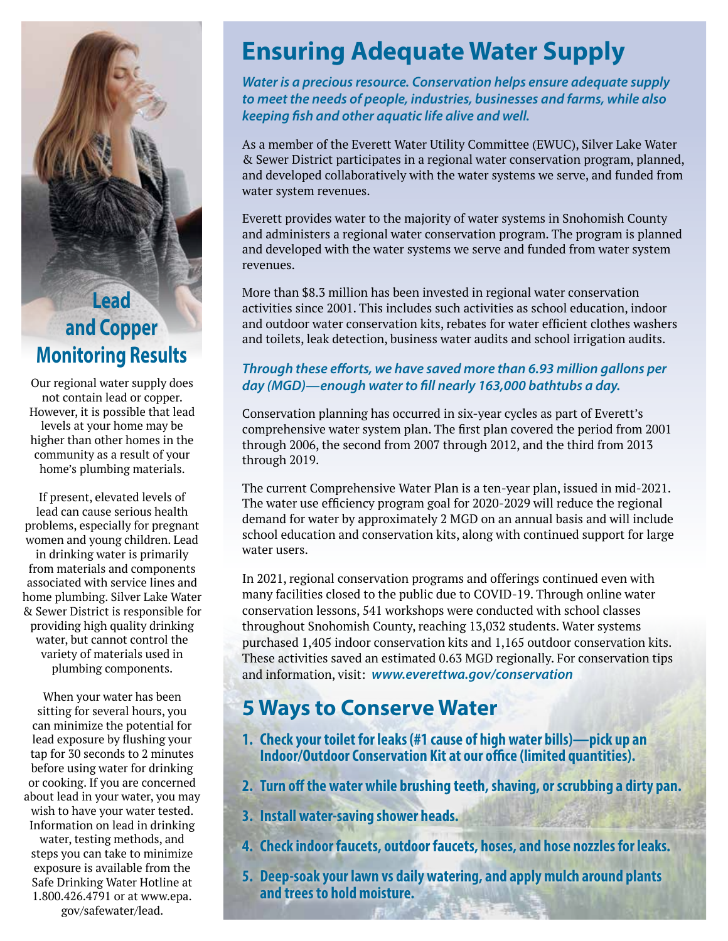## **Lead and Copper Monitoring Results**

Our regional water supply does not contain lead or copper. However, it is possible that lead levels at your home may be higher than other homes in the community as a result of your home's plumbing materials.

If present, elevated levels of lead can cause serious health problems, especially for pregnant women and young children. Lead in drinking water is primarily from materials and components associated with service lines and home plumbing. Silver Lake Water & Sewer District is responsible for providing high quality drinking water, but cannot control the variety of materials used in plumbing components.

When your water has been sitting for several hours, you can minimize the potential for lead exposure by flushing your tap for 30 seconds to 2 minutes before using water for drinking or cooking. If you are concerned about lead in your water, you may wish to have your water tested. Information on lead in drinking water, testing methods, and steps you can take to minimize exposure is available from the Safe Drinking Water Hotline at 1.800.426.4791 or at www.epa. gov/safewater/lead.

## **Ensuring Adequate Water Supply**

*Water is a precious resource. Conservation helps ensure adequate supply to meet the needs of people, industries, businesses and farms, while also keeping fish and other aquatic life alive and well.* 

As a member of the Everett Water Utility Committee (EWUC), Silver Lake Water & Sewer District participates in a regional water conservation program, planned, and developed collaboratively with the water systems we serve, and funded from water system revenues.

Everett provides water to the majority of water systems in Snohomish County and administers a regional water conservation program. The program is planned and developed with the water systems we serve and funded from water system revenues.

More than \$8.3 million has been invested in regional water conservation activities since 2001. This includes such activities as school education, indoor and outdoor water conservation kits, rebates for water efficient clothes washers and toilets, leak detection, business water audits and school irrigation audits.

### *Through these efforts, we have saved more than 6.93 million gallons per day (MGD)—enough water to fill nearly 163,000 bathtubs a day.*

Conservation planning has occurred in six-year cycles as part of Everett's comprehensive water system plan. The first plan covered the period from 2001 through 2006, the second from 2007 through 2012, and the third from 2013 through 2019.

The current Comprehensive Water Plan is a ten-year plan, issued in mid-2021. The water use efficiency program goal for 2020-2029 will reduce the regional demand for water by approximately 2 MGD on an annual basis and will include school education and conservation kits, along with continued support for large water users.

In 2021, regional conservation programs and offerings continued even with many facilities closed to the public due to COVID-19. Through online water conservation lessons, 541 workshops were conducted with school classes throughout Snohomish County, reaching 13,032 students. Water systems purchased 1,405 indoor conservation kits and 1,165 outdoor conservation kits. These activities saved an estimated 0.63 MGD regionally. For conservation tips and information, visit: *www.everettwa.gov/conservation* 

## **5 Ways to Conserve Water**

- **1. Check your toilet for leaks (#1 cause of high water bills)—pick up an Indoor/Outdoor Conservation Kit at our office (limited quantities).**
- **2. Turn off the water while brushing teeth, shaving, or scrubbing a dirty pan.**
- **3. Install water-saving shower heads.**
- **4. Check indoor faucets, outdoor faucets, hoses, and hose nozzles for leaks.**
- **5. Deep-soak your lawn vs daily watering, and apply mulch around plants and trees to hold moisture.**